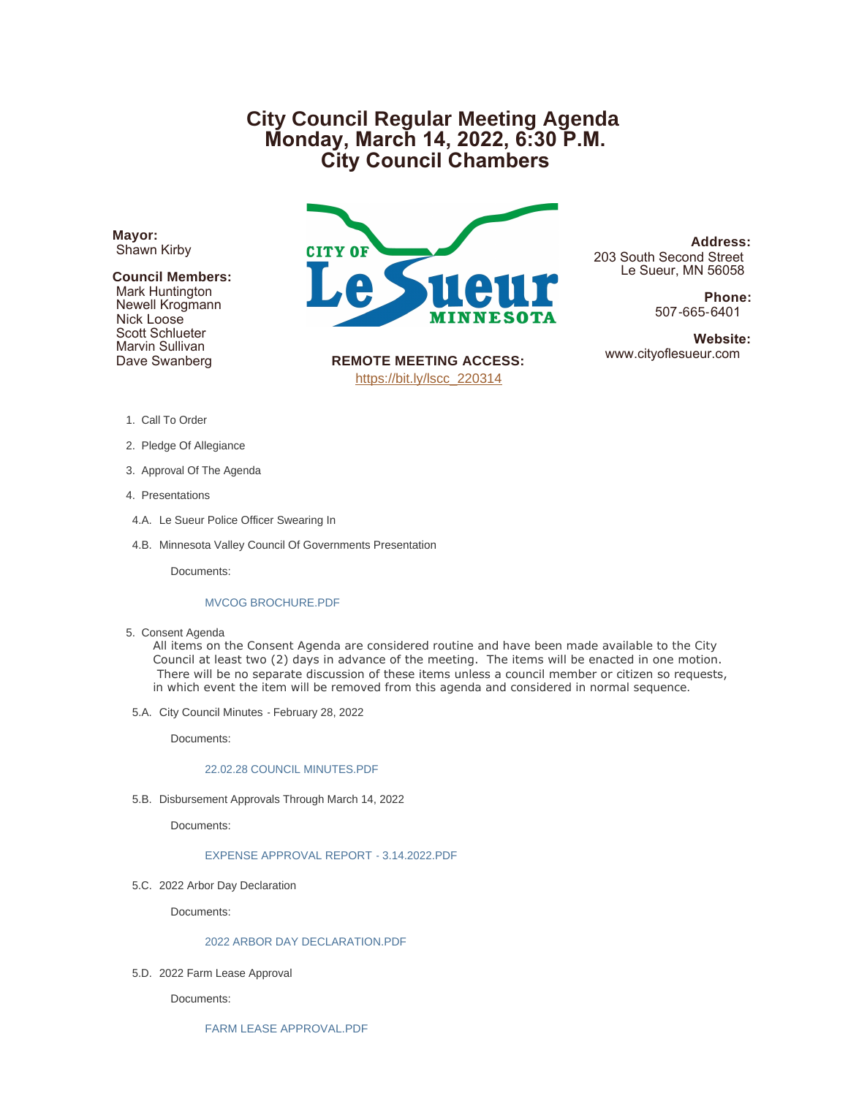# **City Council Regular Meeting Agenda Monday, March 14, 2022, 6:30 P.M. City Council Chambers**

**Mayor:** Shawn Kirby

# **Council Members:**

 Mark Huntington Newell Krogmann Nick Loose Scott Schlueter Marvin Sullivan Dave Swanberg



**Address:** 203 South Second Street Le Sueur, MN 56058

> **Phone:** 507-665-6401

**Website:**<br>www.cityoflesueur.com

**REMOTE MEETING ACCESS:** [https://bit.ly/lscc\\_220314](https://bit.ly/lscc_220314)

- 1. Call To Order
- 2. Pledge Of Allegiance
- 3. Approval Of The Agenda
- 4. Presentations
- 4.A. Le Sueur Police Officer Swearing In
- 4.B. Minnesota Valley Council Of Governments Presentation

Documents:

#### [MVCOG BROCHURE.PDF](http://www.cityoflesueur.com/AgendaCenter/ViewFile/Item/2491?fileID=3139)

5. Consent Agenda

All items on the Consent Agenda are considered routine and have been made available to the City Council at least two (2) days in advance of the meeting. The items will be enacted in one motion. There will be no separate discussion of these items unless a council member or citizen so requests, in which event the item will be removed from this agenda and considered in normal sequence.

5.A. City Council Minutes - February 28, 2022

Documents:

# [22.02.28 COUNCIL MINUTES.PDF](http://www.cityoflesueur.com/AgendaCenter/ViewFile/Item/2465?fileID=3133)

5.B. Disbursement Approvals Through March 14, 2022

Documents:

#### [EXPENSE APPROVAL REPORT - 3.14.2022.PDF](http://www.cityoflesueur.com/AgendaCenter/ViewFile/Item/2493?fileID=3141)

5.C. 2022 Arbor Day Declaration

Documents:

# [2022 ARBOR DAY DECLARATION.PDF](http://www.cityoflesueur.com/AgendaCenter/ViewFile/Item/2487?fileID=3135)

5.D. 2022 Farm Lease Approval

Documents: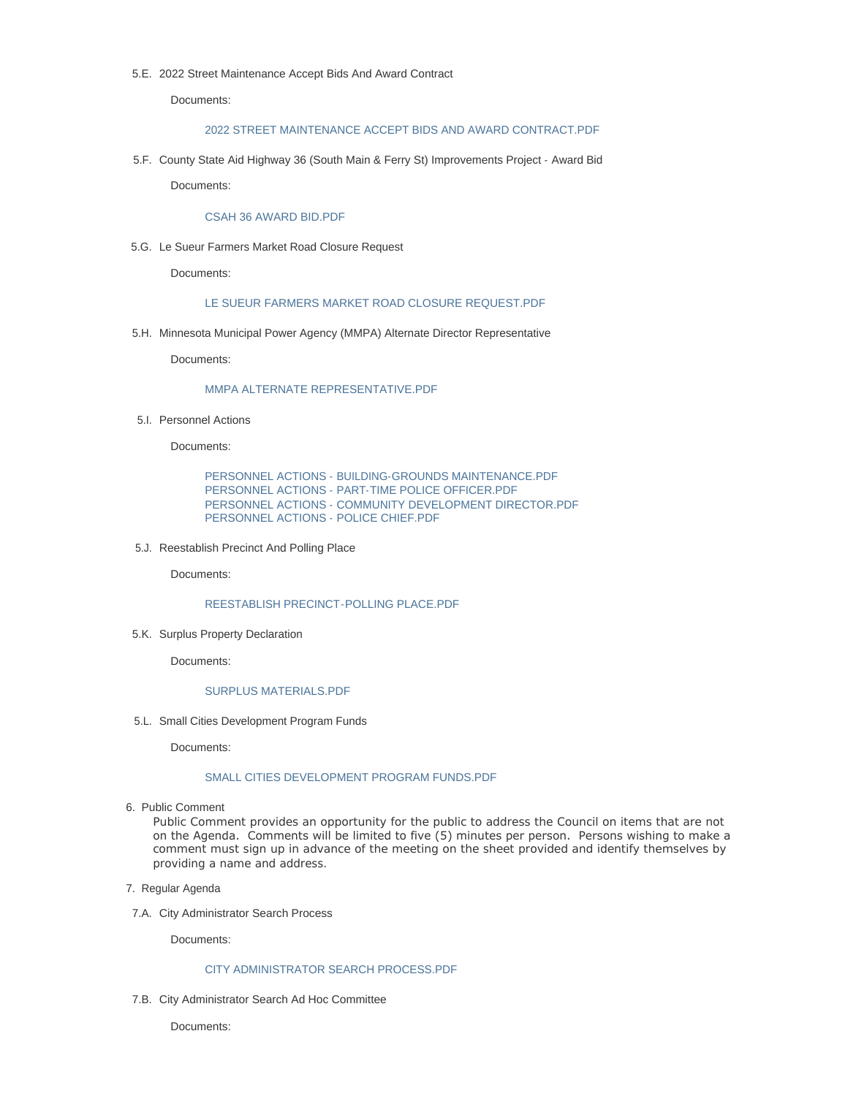2022 Street Maintenance Accept Bids And Award Contract 5.E.

Documents:

# [2022 STREET MAINTENANCE ACCEPT BIDS AND AWARD CONTRACT.PDF](http://www.cityoflesueur.com/AgendaCenter/ViewFile/Item/2488?fileID=3136)

5.F. County State Aid Highway 36 (South Main & Ferry St) Improvements Project - Award Bid

Documents:

#### [CSAH 36 AWARD BID.PDF](http://www.cityoflesueur.com/AgendaCenter/ViewFile/Item/2492?fileID=3140)

5.G. Le Sueur Farmers Market Road Closure Request

Documents:

#### [LE SUEUR FARMERS MARKET ROAD CLOSURE REQUEST.PDF](http://www.cityoflesueur.com/AgendaCenter/ViewFile/Item/2501?fileID=3151)

5.H. Minnesota Municipal Power Agency (MMPA) Alternate Director Representative

Documents:

# [MMPA ALTERNATE REPRESENTATIVE.PDF](http://www.cityoflesueur.com/AgendaCenter/ViewFile/Item/2499?fileID=3146)

5.I. Personnel Actions

Documents:

[PERSONNEL ACTIONS - BUILDING-GROUNDS MAINTENANCE.PDF](http://www.cityoflesueur.com/AgendaCenter/ViewFile/Item/2500?fileID=3147) [PERSONNEL ACTIONS - PART-TIME POLICE OFFICER.PDF](http://www.cityoflesueur.com/AgendaCenter/ViewFile/Item/2500?fileID=3148) [PERSONNEL ACTIONS - COMMUNITY DEVELOPMENT DIRECTOR.PDF](http://www.cityoflesueur.com/AgendaCenter/ViewFile/Item/2500?fileID=3150) [PERSONNEL ACTIONS - POLICE CHIEF.PDF](http://www.cityoflesueur.com/AgendaCenter/ViewFile/Item/2500?fileID=3149)

5.J. Reestablish Precinct And Polling Place

Documents:

#### [REESTABLISH PRECINCT-POLLING PLACE.PDF](http://www.cityoflesueur.com/AgendaCenter/ViewFile/Item/2466?fileID=3134)

5.K. Surplus Property Declaration

Documents:

#### [SURPLUS MATERIALS.PDF](http://www.cityoflesueur.com/AgendaCenter/ViewFile/Item/2497?fileID=3144)

5.L. Small Cities Development Program Funds

Documents:

# [SMALL CITIES DEVELOPMENT PROGRAM FUNDS.PDF](http://www.cityoflesueur.com/AgendaCenter/ViewFile/Item/2502?fileID=3152)

6. Public Comment

Public Comment provides an opportunity for the public to address the Council on items that are not on the Agenda. Comments will be limited to five (5) minutes per person. Persons wishing to make a comment must sign up in advance of the meeting on the sheet provided and identify themselves by providing a name and address.

- 7. Regular Agenda
- 7.A. City Administrator Search Process

Documents:

#### [CITY ADMINISTRATOR SEARCH PROCESS.PDF](http://www.cityoflesueur.com/AgendaCenter/ViewFile/Item/2489?fileID=3137)

7.B. City Administrator Search Ad Hoc Committee

Documents: